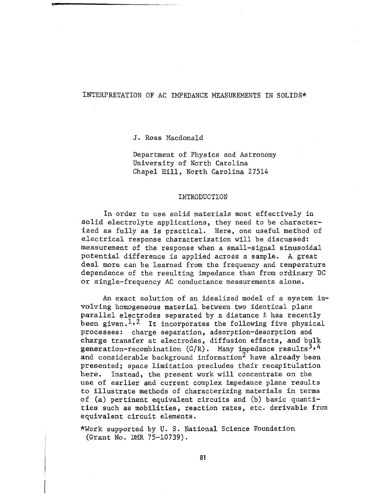# INTERPRETATION OF AC IMPEDANCE MEASUREMENTS IN SOLIDS\*

J. Ross Macdonald

=

Department of Physics and Astronomy University of North Carolina Chapel Hill, North Carolina 27514

#### INTRODUCTION

In order to use solid materials most effectively in solid electrolyte applications, they need to be characterized as fully as is practical. Here, one useful method of electrical response characterization will be discussed: measurement of the response when a small-signal sinusoidal potential difference is applied across a sample. A great deal more can be learned from the frequency and temperature dependence of the resulting impedance than from ordinary DC or single-frequency AC conductance measurements alone.

An exact solution of an idealized model of a system involving homogeneous material between two identical plane parallel electrodes separated by a distance *t* has recently been given.<sup>1,2</sup> It incorporates the following five physical processes: charge separation, adsorption-desorption and charge transfer at electrodes, diffusion effects, and bulk generation-recombination  $(G/R)$ . Many impedance results<sup>3,4</sup> and considerable background information<sup>2</sup> have already been presented; space limitation precludes their recapitulation<br>here. Instead, the present work will concentrate on the Instead, the present work will concentrate on the use of earlier and current complex impedance plane results to illustrate methods of characterizing materials in terms of (a) pertinent equivalent circuits and (b) basic quantities such as mobilities, reaction rates, etc. derivable from equivalent circuit elements.

\*Work supported by U. S. National Science Foundation (Grant No. DMR 75-10739).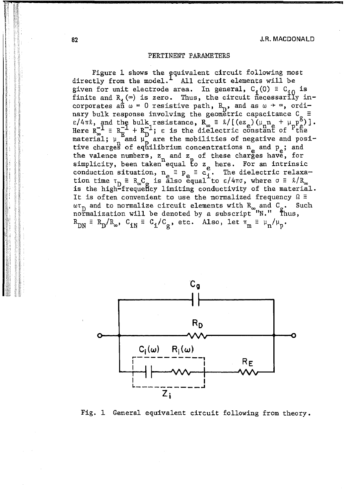#### PERTINENT PARAMETERS

Figure 1 shows the equivalent circuit following most<br>directly from the model.<sup>1</sup> All circuit elements will be given for unit electrode area. In general,  $C_1(0) = C_{10}$  is finite and  $R_4(\infty)$  is zero. Thus, the circuit necessarily incorporates an  $\omega = 0$  resistive path,  $R_n$ , and as  $\omega \rightarrow \infty$ , ordinary bulk response involving the geometric capacitance  $C = \varepsilon/4\pi\ell$ , and the bulk resistance,  $R_{\infty} = \ell/[(ez_e)(\mu_n + \mu_p^g)]$ .<br>Here  $R_{\infty}^{-1} = R_{\infty}^{-1} + R_{\infty}^{-1}$ ;  $\varepsilon$  is the dielectric constant of  $P_{\text{the}}^{0}$  material; the valence numbers,  $z_n$  and  $z$  of these charges have, for<br>the valence numbers,  $z_n$  and  $z$  of these charges have, for<br>simplicity, been taken equal to  $z$  here. For an intrinsic<br>conduction situation,  $n_e \equiv p_e \equiv c_i$ . The It is often convenient to use the normalized frequency  $\Omega \equiv$  $\omega\tau_D$  and to normalize circuit elements with  $R_{\infty}$  and  $C_{\sigma}$ . Such normalization will be denoted by a subscript "N." Thus,  $R_{DN}$  =  $R_N/R_\infty$ ,  $C_{1N}$  =  $C_1/C_\infty$ , etc. Also, let  $\pi_m = \mu_n/\mu_n$ .



Fig. 1 General equivalent circuit following from theory.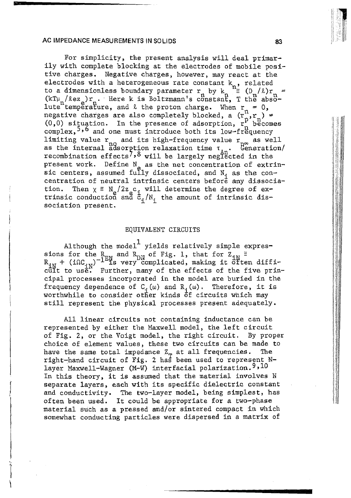For simplicity, the present analysis will deal primarily with complete blocking at the electrodes of mobile positive charges. Negative charges, however, may react at the electrodes with a heterogeneous rate constant  $k_{n}$ , related to a dimensionless boundary parameter r<sub>n</sub> by k<sub>n</sub>  ${}^{11}$  =  $(D_n/l)r_n$  = (kT $\mu_n/l e z_{\rho}$ )r<sub>n</sub>. Here k is Boltzmann's constant, T the absolute<sup>n</sup>temperature, and  $\ell$  the proton charge. When  $r_n = 0$ , negative charges are also completely blocked, a  $(r_p^n, r_n) =$  (0,0) situation. In the presence of adsorption,  $r_n$  becomes complex,  $5,6$  and one must introduce both its low-frequency limiting value  $r_{no}$  and its high-frequency value  $r_{no}$  as well as the internal adsorption relaxation time  $\tau_{\Lambda,n}$ . Generation/ recombination effects<sup>7,8</sup> will be largely neglected in the present work. Define  $N_{\alpha}$  as the net concentration of extrinsic centers, assumed fully dissociated, and N. as the concentration of neutral intrinsic centers before any dissociation. Then  $\chi = N_{\alpha}/2z_{\alpha}c_{\alpha}$  will determine the degree of extrinsic conduction and  $c_1/N_1$  the amount of intrinsic dis-sociation present.

## EQUIVALENT CIRCUITS

Although the model<sup>1</sup> yields relatively simple expressions for the  $R_{EN}$  and  $R_{DN}$  of Fig. 1, that for  $Z_{IN} = R_{IN} + (i\Omega C_{IN})^{-1}$  is very complicated, making it often diffi- $\text{curl}$  to use. Further, many of the effects of the five principal processes incorporated in the model are buried in the frequency dependence of  $C_{\mu}(\omega)$  and  $R_{\mu}(\omega)$ . Therefore, it is worthwhile to consider other kinds of circuits which may still represent the physical processes present adequately.

All linear circuits not containing inductance can be represented by either the Maxwell model, the left circuit of Fig. 2, or the Voigt model, the right circuit. By proper choice of element values, these two circuits can be made to have the same total impedance  $Z_m$  at all frequencies. right-hand circuit of Fig. 2 has been used to represent Nlayer Maxwell-Wagner (M-W) interfacial polarization. 9, 10 In this theory, it is assumed that the material involves <sup>N</sup> separate layers, each with its specific dielectric constant and conductivity. The two-layer model, being simplest, has often been used. It could be appropriate for <sup>a</sup> two-phase material such as a pressed and/or sintered compact in which somewhat conducting particles were dispersed in a matrix of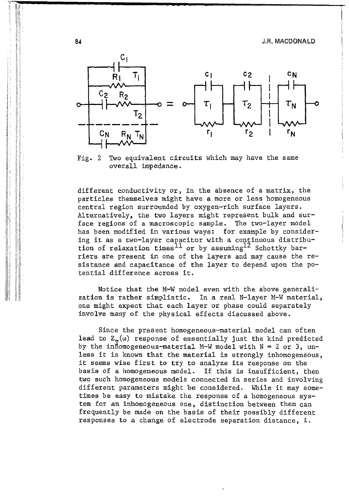

Fig. 2 Two equivalent circuits which may have the same overall impedance.

different conductivity or, in the absence of a matrix, the particles themselves might have a more or less homogeneous central region surrounded by oxygen-rich surface layers. Alternatively, the two layers might represent bulk and surface regions of a macroscopic sample. The two-layer model has been modified in various ways: for example by considering it as a two-layer capacitor with a continuous distribution of relaxation times  $11$  or by assuming  $12$  Schottky barriers are present in one of the layers and may cause the resistance and capacitance of the layer to depend upon the potential difference across it.

Notice that the M-W model even with the above generalization is rather simplistic. In a real N-layer M-W material, one might expect that each layer or phase could separately involve many of the physical effects discussed above.

Since the present homogeneous-material model can often lead to  $Z_m(\omega)$  response of essentially just the kind predicted by the infiomogeneous-material M-W model with N = 2 or 3, unless it is known that the material is strongly inhomogeneous, it seems wise first to try to analyze its response on the basis of a homogeneous model. If this is insufficient, then two such homogeneous models connected in series and involving different parameters might be considered. While it may sometimes be easy to mistake the response of a homogeneous system for an inhomogeneous one, distinction between them can frequently be made on the basis of their possibly different responses to a change of electrode separation distance,  $\ell$ .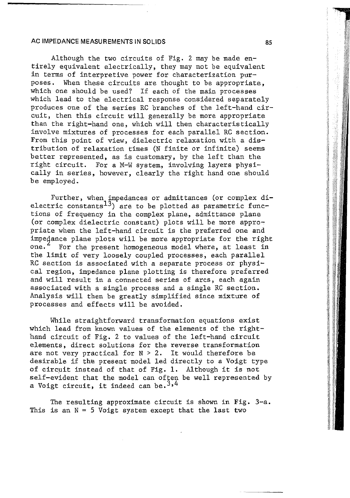Although the two circuits of Fig. 2 may be made entirely equivalent electrically, they may not be equivalent in terms of interpretive power for characterization purposes. When these circuits are thought to be appropriate, which one should be used? If each of the main processes which lead to the electrical response considered separately produces one of the series RC branches of the left-hand circuit, then this circuit will generally be more appropriate than the right-hand one, which will then characteristically involve mixtures of processes for each parallel RC section. From this point of view, dielectric relaxation with a distribution of relaxation times (N finite or infinite) seems better represented, as is customary, by the left than the right circuit. For a M-W system, involving layers physically in series, however, clearly the right hand one should be employed.

Further, when impedances or admittances (or complex dielectric constants<sup>13</sup>) are to be plotted as parametric functions of frequency in the complex plane, admittance plane (or complex dielectric constant) plots will be more appro~ priate when the left-hand circuit is the preferred one and impedance plane plots will be more appropriate for the right one.  $\sim$  For the present homogeneous model where, at least in For the present homogeneous model where, at least in the limit of very loosely coupled processes, each parallel RC section is associated with a separate process or physical region, impedance plane plotting is therefore preferred and will result in a connected series of arcs, each again associated with a single process and a single RC section. Analysis will then be greatly simplified since mixture of processes and effects will be avoided.

While straightforward transformation equations exist which lead from known values of the elements of the righthand circuit of Fig. <sup>2</sup> to values of the left-hand circuit elements, direct solutions for the reverse transformation are not very practical for  $N > 2$ . It would therefore be desirable if the present model led directly to a Voigt type of circuit instead of that of Fig. 1. Although it is not self-evident that the model can often be well represented by a Voigt circuit, it indeed can be.<sup>3,4</sup>

The resulting approximate circuit is shown in Fig. 3-a. This is an  $N = 5$  Voigt system except that the last two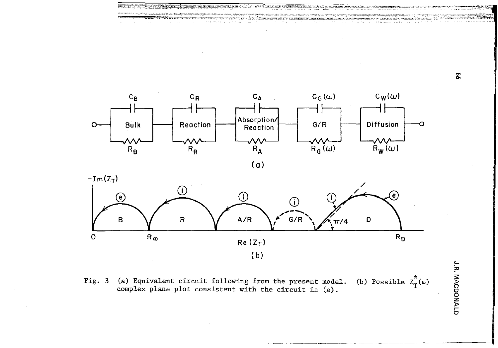



Fig. 3 (a) Equivalent circuit following from the present model. (b) Possible  $z_T^*(\omega)$  complex plane plot consistent with the circuit in *(a)*.

0'> 0-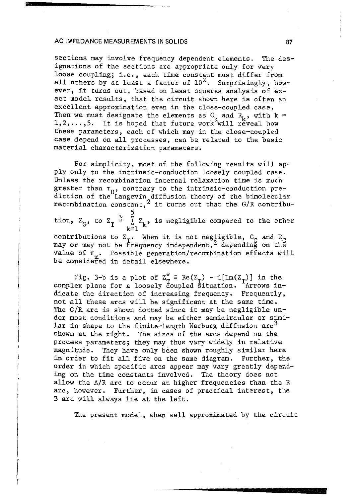#### AC IMPEDANCE MEASUREMENTS IN SOLIDS 67 NO. 1997 1998

sections may involve frequency dependent elements. The designations of the sections are appropriate only for very loose coupling; i.e., each time constant must differ from all others by at least a factor of  $10^2$ . Surprisingly, however, it turns out, based on least squares analysis of exact model results, that the circuit shown here is often an excellent approximation even in the close-coupled case. Then we must designate the elements as  $C_k$  and  $R_k$ , with  $k = 1, 2, ..., 5$ . It is hoped that future work will reveal how these parameters, each of which may in the close-coupled case depend on all processes, can be related to the basic material characterization parameters.

For simplicity, most of the following results will apply only to the intrinsic-conduction loosely coupled case. Unless the recombination internal relaxation time is much greater than  $\tau_{\rm D}$ , contrary to the intrinsic-conduction prediction of the Langevin diffusion theory of the bimolecular<br>recombination constant, <sup>2</sup> it turns out that the G/R contribu-

tion,  $Z_G$ , to  $Z_T \stackrel{\sim}{=} \sum_{k=1}^{5} Z_k$ , is negligible compared to the other k=l

contributions to  $\overline{z_n}$ . When it is not negligible,  $c_g$  and  $R_g$  may or may not be frequency independent,<sup>2</sup> depending on the value of  $\pi_m$ . Possible generation/recombination effects will be considered in detail elsewhere.

Fig. 3-b is a plot of  $Z_{T}^{*}$  = Re( $Z_{T}$ ) - i[Im( $Z_{T}$ )] in the complex plane for a loosely coupled situation. Arrows indicate the direction of increasing frequency. Frequently, not all these arcs will be significant at the same time. The *G/R* arc is shown dotted since it may be negligible under most conditions and may be either semicircular or similar in shape to the finite-length Warburg diffusion arc<sup>3</sup> shown at the right. The sizes of the arcs depend on the process parameters; they may thus vary widely in relative magnitude. They have only been shown roughly similar here in order to fit all five on the same diagram. Further, the order in which specific arcs appear may vary greatly depending on the time constants involved. The theory does not allow the *AIR* arc to occur at higher frequencies than the R are, however. Further, in cases of practical interest, the B arc will always lie at the left.

The present model, when well approximated by the circuit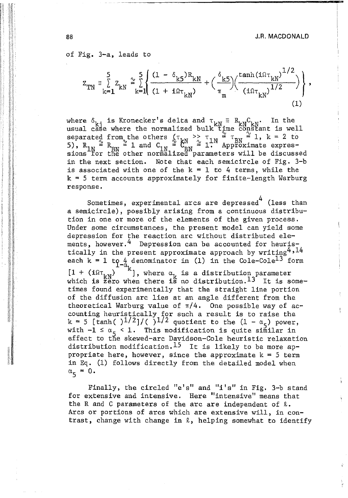of Fig. 3-a, leads to

$$
Z_{\text{TN}} = \sum_{k=1}^{5} Z_{kN} \approx \sum_{k=1}^{5} \left\{ \frac{(1 - \delta_{k5})R_{kN}}{(1 + i\Omega \tau_{kN})} + \left(\frac{\delta_{k5}}{\tau_{m}}\right) \left(\frac{\tanh(i\Omega \tau_{kN})^{1/2}}{(i\Omega \tau_{kN})^{1/2}}\right) \right\},\tag{1}
$$

where  $\delta_{k,j}$  is Kronecker's delta and  $\tau_{k,N} \equiv R_{k,N} C_{k,N}$ . In the usual case where the normalized bulk time constant is well  $\frac{1}{2}$  from the others  $\frac{1}{2}$ <sub>kN</sub>  $>$   $\frac{1}{2}$  T<sub>BN</sub>  $\frac{2}{3}$  1, k = 2 to<br>5) B  $\frac{1}{2}$  B  $\frac{1}{2}$  1 and  $\frac{1}{2}$   $\frac{1}{2}$   $\frac{1}{2}$  1N Application current 5),  $R_{1N} \stackrel{Q}{=} R_{BN} \stackrel{Q}{=} 1$  and  $C_{1N} \stackrel{Q}{=} R_{BN} \stackrel{Q}{=} 1$ . Approximate expres-<br>sions for the other normalized parameters will be discussed in the next section. Note that each semicircle of Fig. 3-b is associated with one of the  $k = 1$  to 4 terms, while the  $k = 5$  term accounts approximately for finite-length Warburg response.

Sometimes, experimental arcs are depressed<sup>4</sup> (less than a semicircle), possibly arising from a continuous distribution in one or more of the elements of the given process. Under some circumstances, the present model can yield some depression for the reaction arc without distributed elements, however.<sup>4</sup> Depression can be accounted for heuristically in the present approximate approach by writing<sup>4,14</sup> each k = 1 to 4 denominator in (1) in the Cole-Cole<sup>13</sup> form  $[1 + (i\Omega\tau_{LN})]$ , where  $\alpha_L$  is a distribution parameter  $\mathbf{K}$ ], where  $\mathbf{\alpha}_{\mathbf{k}}$  is a distribution parameter which is  $\ddot{\tilde{z}}$  are when there is no distribution.<sup>13</sup> It is sometimes found experimentally that the straight line portion of the diffusion arc lies at an angle different from the theoretical Warburg value of  $\pi/4$ . One possible way of accounting heuristically for such a result is to raise the k = 5 [tanh(  $1/2$ ]/(  $1/2$  quotient to the  $(1 - \alpha_c)$  power, with  $-1 \leq \alpha_c \leq 1$ . This modification is quite similar in effect to the skewed-arc Davidson-Cole heuristic relaxation distribution modification. <sup>15</sup> It is likely to be more appropriate here, however, since the approximate  $k = 5$  term in Eq. (1) follows directly from the detailed model when  $\alpha_{5} = 0.$ 

Finally, the circled "e's" and "i's" in Fig. 3-b stand for extensive and intensive. Here "intensive" means that the R and C parameters of the arc are independent of  $\ell$ . Arcs or portions of arcs which are extensive will, in contrast, change with change in  $\ell$ , helping somewhat to identify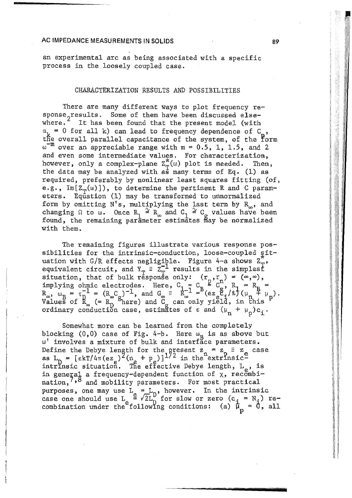an experimental arc as being associated with a specific process in the loosely coupled case.

# CHARACTERIZATION RESULTS AND POSSIBILITIES

There are many different ways to plot frequency response<sub>c</sub>results. Some of them have been discussed elsewhere. $\ell$  It has been found that the present model (with  $\alpha_{l}$  = 0 for all k) can lead to frequency dependence of C  $_{l}$ , the overall parallel capacitance of the system, of the form  $\omega$ <sup>-m</sup> over an appreciable range with m = 0.5, 1, 1.5, and 2 and even some intermediate values. For characterization, however, only a complex-plane  $Z_{\tau}^{*}(\omega)$  plot is needed. Then, the data may be analyzed with as many terms of Eq.  $(1)$  as required, preferably by nonlinear least squares fitting (of, e.g.,  $Im[Z_m(\omega)]$ , to determine the pertinent R and C parameters. Equation (1) may be transformed to unnormalized form by omitting N's, multiplying the last term by R<sub>∞</sub>, and changing  $\Omega$  to  $\omega$ . Once R<sub>1</sub>  $\stackrel{\sim}{=}$  R<sub>∞</sub> and C<sub>1</sub>  $\stackrel{\sim}{=}$  C<sub>o</sub> values have been found, the remaining parameter estimates flay be normalized with them.

The remaining figures illustrate various response possibilities for the intrinsic-conduction, loose-coupled gituation with G/R effects negligible. Figure 4-a shows  $Z_{\rm m}^{\sim}$ , equivalent circuit, and  $Y_{T} = \overline{Z}_{T}^{-1}$  results in the simplest situation, that of bulk response only:  $(r_n, r_n) = (\infty, \infty)$ , implying ohmic electrodes. Here,  $C_1 = C_1^2 + C_2^2 + C_3^2 + C_4^2$ <br>  $R_\infty$ ,  $\omega_B = \tau_1^{-1} = (R_\infty C_0)^{-1}$ , and  $C_\infty = R_\infty^{-1} = (R_Z \frac{g}{c}/\ell \frac{g}{\nu} (\mu_B + \mu_p)$ .<br>
Values of  $R_\infty (= R_p^2)$  here) and C can only yield, in this ordinary conduction case, estimates of  $\varepsilon$  and  $(\mu_n + \mu_p)c_i$ .

Somewhat more can be learned from the completely blocking (0,0) case of Fig. 4-b. Here  $\omega_{\rm B}$  is as above but  $\omega'$  involves a mixture of bulk and interface parameters. Define the Debye length for the present  $z_n = z_n \equiv z_e$  case as  $L_h = [\varepsilon kT/4\pi(\varepsilon z))^2(n_A + p_A)]^{1/2}$  in the extrinsicintrinsic situation. The effective Debye length,  $L_a$ , is in general a frequency-dependent function of  $\chi$ , recombination,7,8 and mobility parameters. For most practical purposes, one may use  $L = L_p$ , however. In the intrinsic case one should use  $L_e \stackrel{e}{=} \sqrt{2}L_D^{D'}$  for slow or zero (c<sub>1</sub> = N<sub>1</sub>) re-<br>combination under the following conditions: (a)  $\mu_p = 0$ , all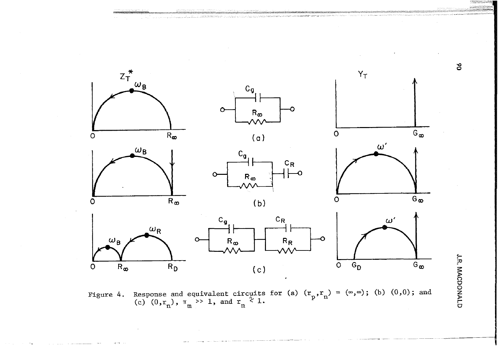

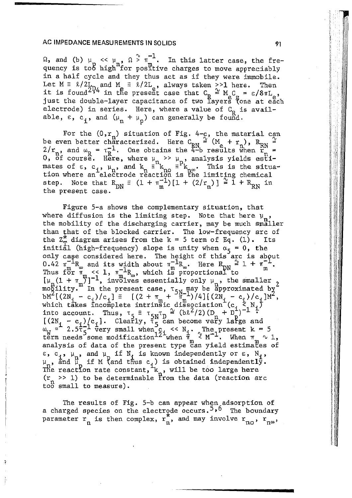$\Omega$ , and (b)  $\mu_{n} \ll \mu_{n}$ ,  $\Omega \stackrel{\sim}{>} \pi_{m}^{-1}$ . In this latter case, the frequency is too high for posttive charges to move appreciably in a half cycle and they thus act as if they were immobile. Let  $M = \ell / 2L$  and  $M = \ell / 2L$ , always taken >>1 here. Then<br>it is found  $2.94$  in the present case that  $C_R = M_Q C_Q = \epsilon / 8 \pi L$ , just the double-layer capacitance of two layers (one at each<br>electrode) in series. Here, where a value of C<sub>p</sub> is availelectrode) in series. Here, where a value of  $C_R$  is available,  $\varepsilon$ ,  $c_1$ , and  $(\mu_n + \mu_p)$  can generally be found.

For the  $(0,r_n)$  situation of Fig. 4-c, the material can be even better characterized. Here  $C_{\text{RN}} = (M + r_n)$ ,  $R_{\text{RN}} \stackrel{?}{=} 2/r_n$ , and  $\omega_{\text{R}} = r_{\text{R}}^{-1}$ . One obtains the 4-b results when  $r_n = 0$ , of course. Here, where  $\mu_n >> \mu_n$ , analysis yields estimates of  $\varepsilon$ ,  $c_1$ ,  $\mu_n$ , and  $k_n \equiv N_{k_n\infty}$ . This is the situation where an electrode reaction is the limiting chemical step. Note that  $R_{DN} \equiv (1 + \pi_m^{-1})(1 + (2/r_n)) \stackrel{\sim}{=} 1 + R_{RN}$  in the present case.

Figure 5-a shows the complementary situation, that where diffusion is the limiting step. Note that here  $\mu_n$ , the mobility of the discharging carrier, may be much smaller than that of the blocked carrier. The low-frequency arc of the  $Z_m^*$  diagram arises from the k = 5 term of Eq. (1). Its initial (high-frequency) slope is unity when  $\alpha_5 = 0$ , the only case considered here. The height of this arc is about only case considered here. The height of this arc is about 0.42  $\pi^{-1}$ R<sub>o</sub> and its width about  $\pi^{-1}$ R<sub>o</sub>. Here  $R_{\text{DN}} \stackrel{\simeq}{=} 1 + \pi^{-1}$ .<br>Thus for  $\pi_{\text{m}} \leq 1$ ,  $\pi_{\text{m}}^{-1}$ R<sub>o</sub>, which is proportional to  $[\mu_n(1 + \pi_m)]^{-1}$ , involves essentially only  $\mu_n$ , the smaller <sub>2</sub> motility. In the present case,  $\tau_{5N}$  may be approximated by  $bM^2[(2N_i - c_i)/c_i] \equiv [(2 + \pi_m + \pi_m^{-1})/4][(2N_i - c_i)/c_i]M^2$ , which takes incomplete intrinsic dissociation  $(c_i, c_i, N_t)$ into account. Thus,  $\tau_5 = \tau_5 N^T D^2 (b\lambda^2/2) (D + D^1)^{-1}$ <br> $\Gamma(2N - a)$  (c) c) Clossly para because  $\tau_5 N^T$  $[(2N_1 - c_1)/c_1]$ . Clearly,  $5^N$  Lan become very large and  $\omega_{\text{w}} \approx 2.575^{12}$  very small when c<sub>i</sub> << N<sub>1</sub>. The present k = 5<br>term needs some modification<sup>12</sup> when  $\overline{\pi}_{\text{m}} \times M^{-1}$ . When  $\pi_{\text{m}} \sim 1$ , analysis of data of the present type  $^{\rm m}_{\rm can}$  yield estima $^{\rm m}_{\rm ces}$  of  $\epsilon$ , c<sub>.</sub>,  $\mu_n$ , and  $\mu$  if N. is known independently or  $\epsilon$ , N<sub>1</sub>,  $\mu_n$ , and  $\mu$  if M {and thus c<sub>1</sub>} is obtained independently.<br>The reaction rate constant,  $k_n$ , will be too large here  $(r \gg 1)$  to be determinable from the data (reaction arc too small to measure).

The results of Fig. 5-b can appear when adsorption of a charged species on the electrode occurs.<sup>5,6</sup> The boundary parameter  $r_n$  is then complex,  $r_n^*$ , and may involve  $r_{n0}$ ,  $r_{n\infty}$ ,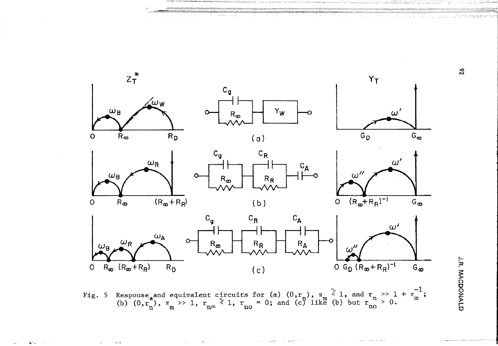

 $\sim 10^4$ 

J.R. MACDONALD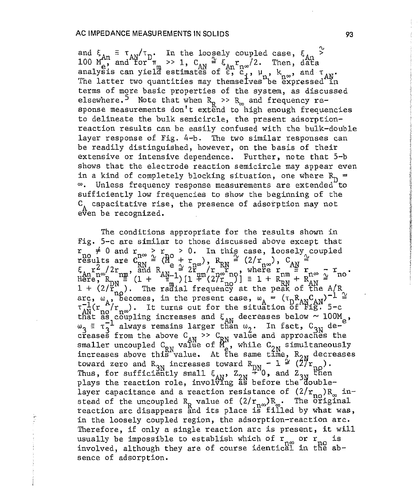and  $\xi_{An} = \tau_{AN}/\tau_{D}$ . In the loosely coupled case,  $\xi_{An} \ge$ <br>100  $M_{e}$ , and for  $\pi_{m} \gg 1$ ,  $C_{AN} \ge \xi_{An} r_{n\infty}/2$ . Then, data analysis can yield estimates of  $\epsilon$ ,  $\alpha$ ,  $\mu$ ,  $k_{\text{no}}$ , and  $\tau_{\text{AV}}$ .<br>The latter two quantities may themselves be expressed in The latter two quantities may themselves be expressed in terms of more basic properties of the system, as discussed elsewhere.<sup>5</sup> Note that when  $R_p \gg R_m$  and frequency response measurements don't extend to high enough frequencies to delineate the bulk semicircle, the present adsorptionreaction results can be easily confused with the bulk-double layer response of Fig. 4-b. The two similar responses can be readily distinguished, however, on the basis of their extensive or intensive dependence. Further, note that S-b shows that the electrode reaction semicircle may appear even in a kind of completely blocking situation, one where  $R_n =$  $\infty$ . Unless frequency response measurements are extended to sufficiently low frequencies to show the beginning of the C<sub>A</sub> capacitative rise, the presence of adsorption may not  $e\overline{v}$ en be recognized.

The conditions appropriate for the results shown in Fig. 5-c are similar to those discussed above except that  $r_{\text{no}} \neq 0$  and  $r_{\text{no}} \geq r_{\text{no}} > 0$ . In this case, loosely coupled<br>results are  $C_{\text{on}} \cong (M_2 + r_{\text{no}})$ ,  $R_{\text{on}} \cong (2/r_{\text{no}})$ ,  $C_{\text{on}} \cong$ results are  $C_{\text{RN}}^{\text{no}} \cong (M^{\text{o}} + r_{\text{no}})$ ,  $R_{\text{RN}} \cong (2/r_{\text{no}})$ ,  $C_{\text{AN}} \cong (2/r_{\text{no}})$ ,  $C_{\text{AN}} \cong (2/r_{\text{no}})$ ,  $C_{\text{AN}} \cong (2/r_{\text{no}})$ ,  $C_{\text{AN}} \cong (2/r_{\text{no}})$ ,  $C_{\text{AN}} \cong (2/r_{\text{no}})$ ,  $C_{\text{AN}} \cong (2/r_{\text{no}})$ ,  $C_{\text$  $H^{\text{max}}_{\text{Here, R}_{\text{min}}}$ , and  $h^{\text{max}}_{\text{min}}$  (1  $\pm$   $\frac{2 \cdot 1}{1}$   $\frac{1}{4}$   $\frac{1}{4}$   $\frac{1}{2}$   $\frac{1}{2}$   $\frac{1}{4}$   $\frac{1}{2}$   $\frac{1}{2}$   $\frac{1}{2}$   $\frac{1}{2}$   $\frac{1}{2}$   $\frac{1}{2}$   $\frac{1}{2}$   $\frac{1}{2}$   $\frac{1}{2}$   $\frac{1}{2}$   $\frac{1$  $1 + (2/\mathcal{L}_{\text{no}}^{\text{IN}})$ . The radial frequency at the peak of the A/R arc,  $\omega_A$ , becomes, in the present case,  $\omega_A = (\tau_B R_{AN} C_{AN})^{-1}$ .<br> $\tau_{AN}^{-1}(r_{n}^{\ A}(r_{n}^{\ A})$ . It turns out for the situation of Fig. 5-c. that as coupling increases and  $\xi_{AN}$  decreases below ~ 100M  $\omega_3 = \tau_3^{-1}$  always remains larger than  $\omega_2$ . In fact, C<sub>3N</sub> de-<br>creases from the above C<sub>AN</sub> >> C<sub>DN</sub> value and approaches the smaller uncoupled  $C_{RN}$  vaile of  $\widehat{R}^{N}$ , while  $C_{ZN}$  simultaneously increases above this value. At the same  $t_{\text{me}}^{\text{IR}}$ ,  $R_{2N}$  decreases toward zero and  $R_{3N}$  increases toward  $R_{DN} = 1 \frac{\dot{\omega}}{2} (Z/r_{p0}).$ Thus, for sufficiently small  $\xi_{\text{AN}}$ ,  $\text{Z}_{\text{2N}}$   $\overset{\text{L}}{\rightarrow} 0$ , and  $\text{Z}_{\text{3N}}$  then<br>plays the reaction role, involving as before the doublelayer capacitance and a reaction resistance of  $(2/r_{\text{no}})R_{\infty}$  inlayer capacitance and a reaction resistance of  $(2/r_{\text{no}})R_{\text{no}}$  in-<br>stead of the uncoupled  $R_{\text{p}}$  value of  $(2/r_{\text{no}})R_{\text{no}}$ . The original<br>reaction arc disappears and its place is filled by what was, in the loosely coupled region, the adsorption-reaction arc. Therefore, if only <sup>a</sup> single reaction arc is present, it will usually be impossible to establish which of  $r_{\text{on}}$  or  $r_{\text{on}}$  is involved, although they are of course identical in the absence of adsorption.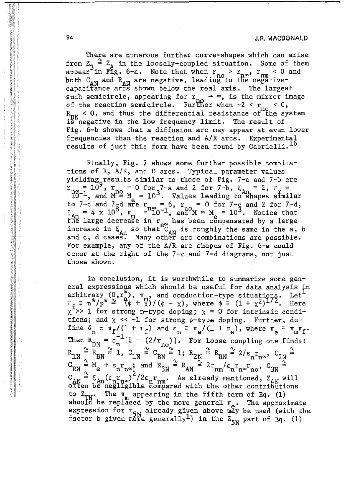There are numerous further curve-shapes which can arise from  $Z_2 \stackrel{\Delta}{=} Z_4$  in the loosely-coupled situation. Some of them from  $Z_3 \stackrel{\simeq}{=} Z_A$  in the loosely-coupled situation. Some of the appear in Fig. 6-a. Note that when  $r_{\rm no} > r_{\rm no}$ ,  $r_{\rm nm} < 0$  and both C<sub>AN</sub> and R<sub>AN</sub> are negative, leading to the negative-<br>capacitance arcs shown below the real axis. The largest such semicircle, appearing for  $r_{\text{no}} \rightarrow \infty$ , is the mirror image of the reaction semicircle. Further when -2 < r < 0,  $R_{\text{DM}}$  < 0, and thus the differential resistance of the system  $R_{\text{DN}}$  < 0, and thus the differential resistance of the system is negative in the low frequency limit. The result of Fig. 6-b shows that a diffusion arc may appear at even lower frequencies than the reaction and A/R arcs. Experimental results of just this form have been found by Gabrielli.

Finally, Fig. 7 shows some further possible combinations of R, A/R, and D arcs. Typical parameter values yielding<sub>s</sub>results similar to those of Fig. 7-a and 7-b are yielding results similar to those of Fig. 7-a and 7-b are<br>  $r_{\text{max}} = 10^9$ ,  $r_{\text{max}} = 0$  for 7-a and 2 for 7-b,  $\xi_{\text{An}} = 2$ ,  $\pi_{\text{m}} =$ <br>  $10^{-1}$ , and  $M = M_{\text{e}} = 10^3$ . Values leading to shapes similar<br>
to 7-c and 7-d  $\zeta_A = 4 \times 10^8$ ,  $\pi_B = 10^{-1}$ , and  $M = M = 10^3$ . Notice that<br> $\zeta_{A} = 4 \times 10^8$ ,  $\pi_B = 10^{-1}$ , and  $M = M = 10^3$ . Notice that the large decrease in  $r_{\text{no}}$  has been compensated by a large increase in  $\xi_{\text{An}}$  so that  $\text{C}_{\text{AN}}$  is roughly the same in the a, b and c, d cases. Many other arc combinations are possible. For example, any of the A/R arc shapes of Fig. 6-a could occur at the right of the 7-cand 7-d diagrams, not just those shown.

In conclusion, it is worthwhile to summarize some general expressions which should be useful for data analysis tn arbitrary  $(0,r_n^*)$ ,  $\pi_m$ , and conduction-type situations. Let  $\pi_{\text{f}} \equiv n^{*}/p^{*} \stackrel{\sim}{=} (\phi + \frac{m}{\lambda})/(\phi - \chi)$ , where  $\phi \equiv (1 + \chi^{2})^{1/2}$ . Here  $x^2$  >> 1 for strong n-type doping;  $x = 0$  for intrinsic conditions; and  $\chi \ll -1$  for strong p-type doping. Further, define  $\delta_n \equiv \pi_f/(1 + \pi_f)$  and  $\epsilon_n \equiv \pi_e/(1 + \pi_e)$ , where  $\pi_e \equiv \pi_m \pi_f$ . for strong n-type doping;  $\chi = 0$  for intrinsic condi<br>and  $\chi \ll -1$  for strong p-type doping. Further, de-<br> $n^{\frac{1}{m}} \pi f(1 + \pi_f)$  and  $\varepsilon_n \equiv \pi_e/(1 + \pi_e)$ , where  $\pi_e \equiv \pi_m$ <br> $n = \varepsilon_{n}^{-1}[1 + (2/\tau_{n-}))$ . For loose coupling one fin Then  $R_{DN} = \varepsilon_n^{-1} [1 + (2/r_{no})]$ . For loose coupling one finds:  $R_{1N} \stackrel{\cong}{\sim} R_{BN} \stackrel{\cong}{\sim} 1$ ,  $C_{1N} \stackrel{\cong}{\sim} C_{BN} \stackrel{\cong}{\sim} 1$ ;  $R_{2N} \stackrel{\cong}{\sim} R_{RN} \stackrel{\cong}{\sim} 2/\epsilon_n r_{n\infty}$ ,  $C_{2N} \stackrel{\cong}{\sim} C_{RN} \stackrel{\cong}{\sim} N + \epsilon_n r_{n\infty}$ ; and  $R_{3N} \stackrel{\cong}{\sim} R_{AN} \stackrel{\cong}{\sim} 2r_{nm}/\epsilon_n r_{n\infty} r_{n\infty}$ ,  $C_{AN} = \xi_{An} (\epsilon_n r_{nm})^2 / 2 \epsilon_n r_{nm}$ . As already mentioned,  $Z_{AN}$  will often be negligible compared with the other contributions to  $Z_{\text{TM}}$ . The  $\pi_{\text{m}}$  appearing in the fifth term of Eq. (1) should be replaced by the more general  $\pi_{\alpha}$ . The approximate expression for  $\tau_{5N}$  already given above may be used (with the factor b given more generally<sup>1</sup>) in the  $Z_{5N}$  part of Eq. (1)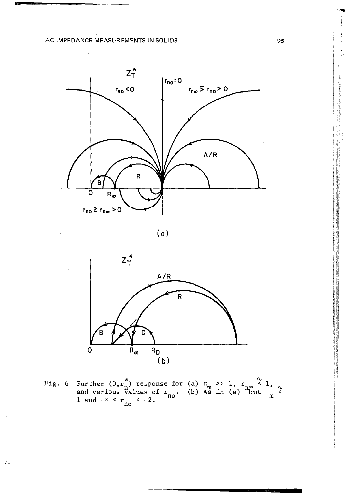

 $(a)$ 



Further  $(0, r_n^*)$  response for (a)  $\pi_m \gg 1$ ,  $r_n \approx 1$ ,  $\gamma_{n0} \approx 1$ , and various values of  $r_n$ . (b) As in (a) but  $\pi_m \approx 1$  and  $-\infty < r_{n0} < -2$ . Fig. 6

 $\zeta_{\rm m}$ 

 $\tilde{4}$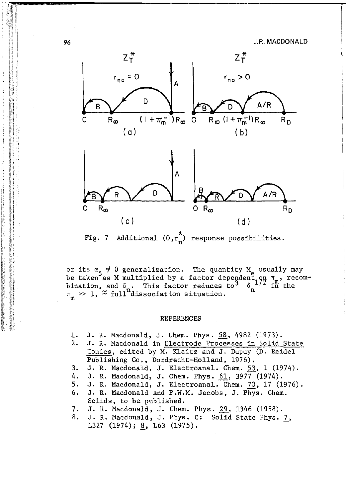

or its  $\alpha_5 \neq 0$  generalization. The quantity M<sub>e</sub> usually may<br>be taken as M multiplied by a factor dependent<sub>i</sub>gn m<sub>m</sub>, recombination, and  $\delta_1$ . This factor reduces to  $\delta_0$   $\delta_1$  in the  $\pi_m$  >> 1,  $\approx$  full dissociation situation.

#### REFERENCES

- 1. J. R. Macdonald, J. Chem. Phys. 58, 4982 (1973).
- 2. J. R. Macdonald in Electrode Processes in Solid State lonies, edited by M. K1eitz and J. Dupuy (D. Reidel Publishing Co., Dordrecht-Ho11and, 1976).
- 3. J. R. Macdonald, J. Electroana1. Chem. 53, 1 (1974).
- 4. J. R. Macdonald, J. Chem. Phys. 61, 3977 (1974).
- 5. J. R. Macdonald, J. Electroanal. Chem. 70, 17 (1976).
- 6. J. R. Macdonald and P.W.M. Jacobs, J. Phys. Chem. Solids, to be published.
- 7. J. R. Macdonald, J. Chem. Phys. 29, 1346 (1958).
- 8. J. R. Macdonald, J. Phys. C: Solid State Phys. 2, L327 (1974);  $8, L63$  (1975).